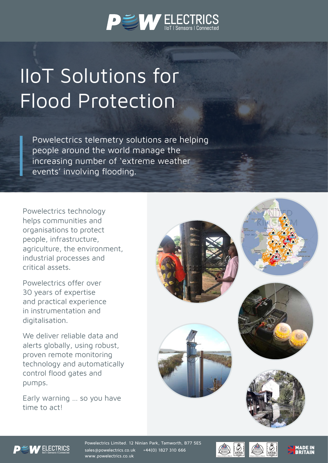

# IIoT Solutions for Flood Protection

Powelectrics telemetry solutions are helping people around the world manage the increasing number of 'extreme weather events' involving flooding.

Powelectrics technology helps communities and organisations to protect people, infrastructure, agriculture, the environment, industrial processes and critical assets.

Powelectrics offer over 30 years of expertise and practical experience in instrumentation and digitalisation.

We deliver reliable data and alerts globally, using robust, proven remote monitoring technology and automatically control flood gates and pumps.

Early warning … so you have time to act!





Powelectrics Limited. 12 Ninian Park, Tamworth, B77 5ES sales@powelectrics.co.uk +44(0) 1827 310 666 www.powelectrics.co.uk